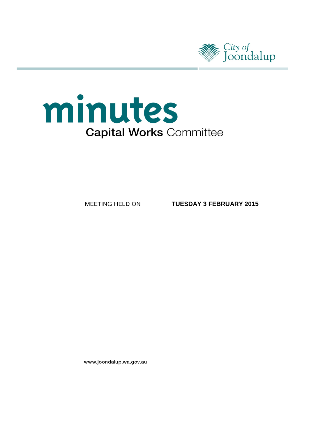

# minutes **Capital Works Committee**

MEETING HELD ON

**TUESDAY 3 FEBRUARY 2015**

www.joondalup.wa.gov.au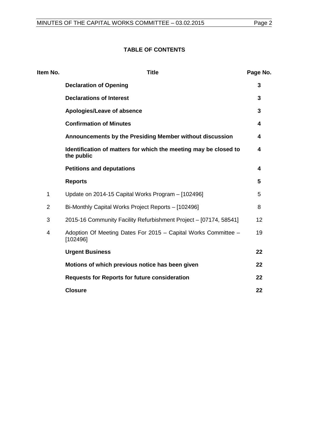### **TABLE OF CONTENTS**

| Item No.       | <b>Title</b>                                                                   | Page No. |
|----------------|--------------------------------------------------------------------------------|----------|
|                | <b>Declaration of Opening</b>                                                  | 3        |
|                | <b>Declarations of Interest</b>                                                | 3        |
|                | Apologies/Leave of absence                                                     | 3        |
|                | <b>Confirmation of Minutes</b>                                                 | 4        |
|                | Announcements by the Presiding Member without discussion                       | 4        |
|                | Identification of matters for which the meeting may be closed to<br>the public | 4        |
|                | <b>Petitions and deputations</b>                                               | 4        |
|                | <b>Reports</b>                                                                 | 5        |
| 1              | Update on 2014-15 Capital Works Program - [102496]                             | 5        |
| $\overline{2}$ | Bi-Monthly Capital Works Project Reports - [102496]                            | 8        |
| 3              | 2015-16 Community Facility Refurbishment Project - [07174, 58541]              | 12       |
| 4              | Adoption Of Meeting Dates For 2015 - Capital Works Committee -<br>[102496]     | 19       |
|                | <b>Urgent Business</b>                                                         | 22       |
|                | Motions of which previous notice has been given                                | 22       |
|                | <b>Requests for Reports for future consideration</b>                           | 22       |
|                | <b>Closure</b>                                                                 | 22       |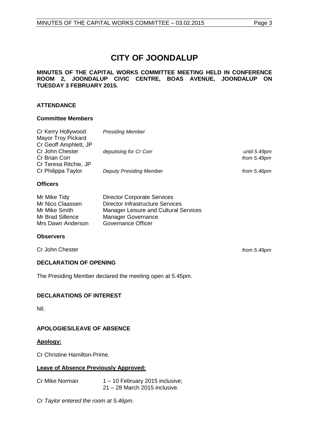# **CITY OF JOONDALUP**

### **MINUTES OF THE CAPITAL WORKS COMMITTEE MEETING HELD IN CONFERENCE ROOM 2, JOONDALUP CIVIC CENTRE, BOAS AVENUE, JOONDALUP ON TUESDAY 3 FEBRUARY 2015.**

### **ATTENDANCE**

### **Committee Members**

| Cr Kerry Hollywood        | <b>Presiding Member</b>        |               |
|---------------------------|--------------------------------|---------------|
| <b>Mayor Troy Pickard</b> |                                |               |
| Cr Geoff Amphlett, JP     |                                |               |
| Cr John Chester           | deputising for Cr Corr         | until 5.49pm  |
| Cr Brian Corr             |                                | from $5.49pm$ |
| Cr Teresa Ritchie, JP     |                                |               |
| Cr Philippa Taylor        | <b>Deputy Presiding Member</b> | from 5.46pm   |
|                           |                                |               |

### **Officers**

| Mr Mike Tidy      | <b>Director Corporate Services</b>           |
|-------------------|----------------------------------------------|
| Mr Nico Claassen  | Director Infrastructure Services             |
| Mr Mike Smith     | <b>Manager Leisure and Cultural Services</b> |
| Mr Brad Sillence  | <b>Manager Governance</b>                    |
| Mrs Dawn Anderson | Governance Officer                           |

### **Observers**

Cr John Chester *from 5.49pm*

### <span id="page-2-0"></span>**DECLARATION OF OPENING**

The Presiding Member declared the meeting open at 5.45pm.

### <span id="page-2-1"></span>**DECLARATIONS OF INTEREST**

Nil.

### <span id="page-2-2"></span>**APOLOGIES/LEAVE OF ABSENCE**

### **Apology:**

Cr Christine Hamilton-Prime.

### **Leave of Absence Previously Approved:**

| Cr Mike Norman | $1 - 10$ February 2015 inclusive; |
|----------------|-----------------------------------|
|                | $21 - 28$ March 2015 inclusive.   |

*Cr Taylor entered the room at 5.46pm.*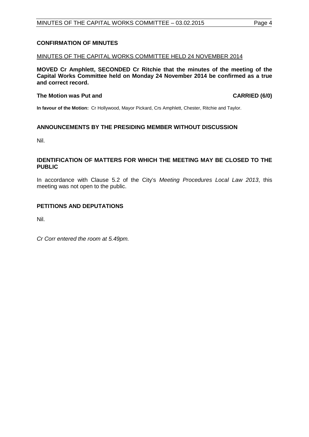### <span id="page-3-0"></span>**CONFIRMATION OF MINUTES**

### MINUTES OF THE CAPITAL WORKS COMMITTEE HELD 24 NOVEMBER 2014

**MOVED Cr Amphlett, SECONDED Cr Ritchie that the minutes of the meeting of the Capital Works Committee held on Monday 24 November 2014 be confirmed as a true and correct record.**

### **The Motion was Put and CARRIED (6/0)**

**In favour of the Motion:** Cr Hollywood, Mayor Pickard, Crs Amphlett, Chester, Ritchie and Taylor.

### <span id="page-3-1"></span>**ANNOUNCEMENTS BY THE PRESIDING MEMBER WITHOUT DISCUSSION**

Nil.

### <span id="page-3-2"></span>**IDENTIFICATION OF MATTERS FOR WHICH THE MEETING MAY BE CLOSED TO THE PUBLIC**

In accordance with Clause 5.2 of the City's *Meeting Procedures Local Law 2013*, this meeting was not open to the public.

### <span id="page-3-3"></span>**PETITIONS AND DEPUTATIONS**

Nil.

*Cr Corr entered the room at 5.49pm.*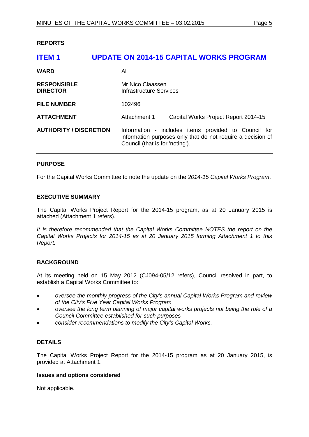### <span id="page-4-0"></span>**REPORTS**

# <span id="page-4-1"></span>**ITEM 1 UPDATE ON 2014-15 CAPITAL WORKS PROGRAM WARD** All **RESPONSIBLE** Mr Nico Claassen<br> **DIRECTOR** Mr Infrastructure Server **Infrastructure Services FILE NUMBER** 102496 **ATTACHMENT** Attachment 1 Capital Works Project Report 2014-15 **AUTHORITY / DISCRETION** Information - includes items provided to Council for information purposes only that do not require a decision of Council (that is for 'noting').

### **PURPOSE**

For the Capital Works Committee to note the update on the *2014-15 Capital Works Program*.

### **EXECUTIVE SUMMARY**

The Capital Works Project Report for the 2014-15 program, as at 20 January 2015 is attached (Attachment 1 refers).

It is therefore recommended that the Capital Works Committee NOTES the report on the *Capital Works Projects for 2014-15 as at 20 January 2015 forming Attachment 1 to this Report.*

### **BACKGROUND**

At its meeting held on 15 May 2012 (CJ094-05/12 refers), Council resolved in part, to establish a Capital Works Committee to:

- *oversee the monthly progress of the City's annual Capital Works Program and review of the City's Five Year Capital Works Program*
- *oversee the long term planning of major capital works projects not being the role of a Council Committee established for such purposes*
- *consider recommendations to modify the City's Capital Works.*

### **DETAILS**

The Capital Works Project Report for the 2014-15 program as at 20 January 2015, is provided at Attachment 1.

### **Issues and options considered**

Not applicable.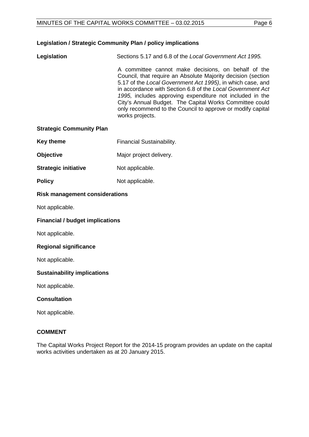### **Legislation / Strategic Community Plan / policy implications**

**Legislation** Sections 5.17 and 6.8 of the *Local Government Act 1995.*

A committee cannot make decisions, on behalf of the Council, that require an Absolute Majority decision (section 5.17 of the *Local Government Act 1995)*, in which case, and in accordance with Section 6.8 of the *Local Government Act 1995,* includes approving expenditure not included in the City's Annual Budget. The Capital Works Committee could only recommend to the Council to approve or modify capital works projects.

### **Strategic Community Plan**

| <b>Key theme</b> | <b>Financial Sustainability.</b> |
|------------------|----------------------------------|
|------------------|----------------------------------|

- **Objective** Major project delivery.
- **Strategic initiative** Not applicable.
- **Policy** Not applicable.

### **Risk management considerations**

Not applicable.

### **Financial / budget implications**

Not applicable.

### **Regional significance**

Not applicable.

### **Sustainability implications**

Not applicable.

### **Consultation**

Not applicable.

### **COMMENT**

The Capital Works Project Report for the 2014-15 program provides an update on the capital works activities undertaken as at 20 January 2015.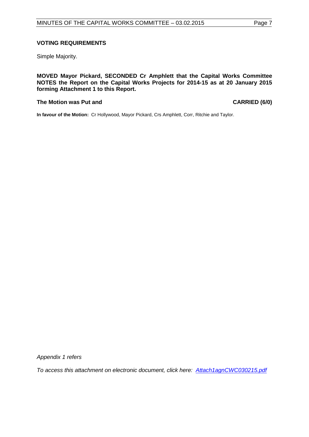### **VOTING REQUIREMENTS**

Simple Majority.

**MOVED Mayor Pickard, SECONDED Cr Amphlett that the Capital Works Committee NOTES the Report on the Capital Works Projects for 2014-15 as at 20 January 2015 forming Attachment 1 to this Report.**

### **The Motion was Put and CARRIED (6/0)**

**In favour of the Motion:** Cr Hollywood, Mayor Pickard, Crs Amphlett, Corr, Ritchie and Taylor.

*Appendix 1 refers*

*[To access this attachment on electronic document, click here: Attach1agnCWC030215.pdf](http://www.joondalup.wa.gov.au/files/committees/CWOC/2015/Attach1agnCWC030215.pdf)*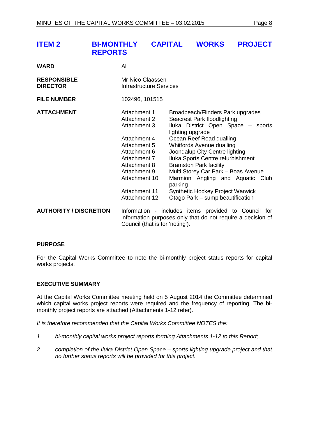<span id="page-7-0"></span>

| <b>ITEM 2</b>                         | <b>BI-MONTHLY</b><br><b>REPORTS</b> |                                                                                                                                                                                                                      | <b>CAPITAL</b> |                                                                                                                                                                                                                                                                                                                                                                                                                                                                  | <b>WORKS</b> | <b>PROJECT</b> |  |
|---------------------------------------|-------------------------------------|----------------------------------------------------------------------------------------------------------------------------------------------------------------------------------------------------------------------|----------------|------------------------------------------------------------------------------------------------------------------------------------------------------------------------------------------------------------------------------------------------------------------------------------------------------------------------------------------------------------------------------------------------------------------------------------------------------------------|--------------|----------------|--|
| <b>WARD</b>                           |                                     | All                                                                                                                                                                                                                  |                |                                                                                                                                                                                                                                                                                                                                                                                                                                                                  |              |                |  |
| <b>RESPONSIBLE</b><br><b>DIRECTOR</b> |                                     | Mr Nico Claassen<br>Infrastructure Services                                                                                                                                                                          |                |                                                                                                                                                                                                                                                                                                                                                                                                                                                                  |              |                |  |
| <b>FILE NUMBER</b>                    |                                     | 102496, 101515                                                                                                                                                                                                       |                |                                                                                                                                                                                                                                                                                                                                                                                                                                                                  |              |                |  |
| <b>ATTACHMENT</b>                     |                                     | Attachment 1<br><b>Attachment 2</b><br><b>Attachment 3</b><br>Attachment 4<br>Attachment 5<br>Attachment 6<br>Attachment 7<br>Attachment 8<br>Attachment 9<br>Attachment 10<br><b>Attachment 11</b><br>Attachment 12 |                | Broadbeach/Flinders Park upgrades<br>Seacrest Park floodlighting<br>Iluka District Open Space - sports<br>lighting upgrade<br>Ocean Reef Road dualling<br>Whitfords Avenue dualling<br>Joondalup City Centre lighting<br>Iluka Sports Centre refurbishment<br><b>Bramston Park facility</b><br>Multi Storey Car Park - Boas Avenue<br>Marmion Angling and Aquatic Club<br>parking<br><b>Synthetic Hockey Project Warwick</b><br>Otago Park - sump beautification |              |                |  |
| <b>AUTHORITY / DISCRETION</b>         |                                     | Information - includes items provided to Council for<br>information purposes only that do not require a decision of<br>Council (that is for 'noting').                                                               |                |                                                                                                                                                                                                                                                                                                                                                                                                                                                                  |              |                |  |

### **PURPOSE**

For the Capital Works Committee to note the bi-monthly project status reports for capital works projects.

### **EXECUTIVE SUMMARY**

At the Capital Works Committee meeting held on 5 August 2014 the Committee determined which capital works project reports were required and the frequency of reporting. The bimonthly project reports are attached (Attachments 1-12 refer).

*It is therefore recommended that the Capital Works Committee NOTES the:*

- *1 bi-monthly capital works project reports forming Attachments 1-12 to this Report;*
- *2 completion of the Iluka District Open Space – sports lighting upgrade project and that no further status reports will be provided for this project.*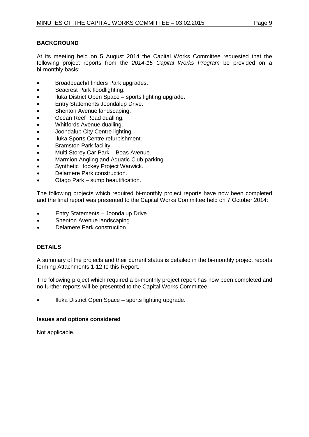### **BACKGROUND**

At its meeting held on 5 August 2014 the Capital Works Committee requested that the following project reports from the *2014-15 Capital Works Program* be provided on a bi-monthly basis:

- Broadbeach/Flinders Park upgrades.
- Seacrest Park floodlighting.
- Iluka District Open Space sports lighting upgrade.
- Entry Statements Joondalup Drive.
- Shenton Avenue landscaping.
- Ocean Reef Road dualling.
- Whitfords Avenue dualling.
- Joondalup City Centre lighting.
- Iluka Sports Centre refurbishment.
- Bramston Park facility.
- Multi Storey Car Park Boas Avenue.
- Marmion Angling and Aquatic Club parking.
- Synthetic Hockey Project Warwick.
- Delamere Park construction.
- Otago Park sump beautification.

The following projects which required bi-monthly project reports have now been completed and the final report was presented to the Capital Works Committee held on 7 October 2014:

- Entry Statements Joondalup Drive.
- Shenton Avenue landscaping.
- Delamere Park construction.

### **DETAILS**

A summary of the projects and their current status is detailed in the bi-monthly project reports forming Attachments 1-12 to this Report.

The following project which required a bi-monthly project report has now been completed and no further reports will be presented to the Capital Works Committee:

• Iluka District Open Space – sports lighting upgrade.

### **Issues and options considered**

Not applicable.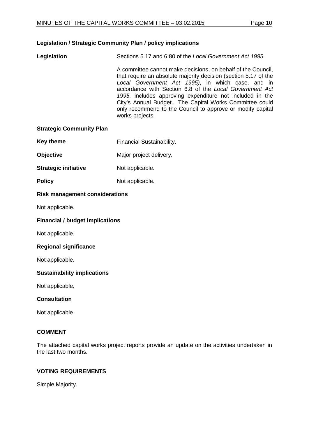### **Legislation / Strategic Community Plan / policy implications**

**Legislation** Sections 5.17 and 6.80 of the *Local Government Act 1995.*

A committee cannot make decisions, on behalf of the Council, that require an absolute majority decision (section 5.17 of the *Local Government Act 1995)*, in which case, and in accordance with Section 6.8 of the *Local Government Act 1995,* includes approving expenditure not included in the City's Annual Budget. The Capital Works Committee could only recommend to the Council to approve or modify capital works projects.

### **Strategic Community Plan**

- **Key theme** Financial Sustainability.
- **Objective** Major project delivery.
- **Strategic initiative** Not applicable.
- **Policy** Not applicable.

### **Risk management considerations**

Not applicable.

### **Financial / budget implications**

Not applicable.

### **Regional significance**

Not applicable.

### **Sustainability implications**

Not applicable.

### **Consultation**

Not applicable.

### **COMMENT**

The attached capital works project reports provide an update on the activities undertaken in the last two months.

### **VOTING REQUIREMENTS**

Simple Majority.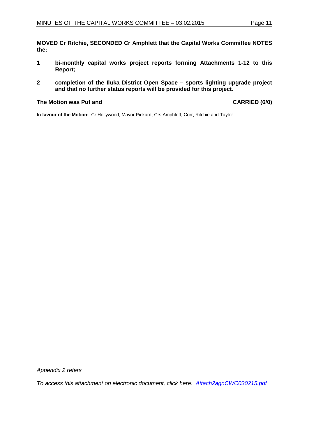**MOVED Cr Ritchie, SECONDED Cr Amphlett that the Capital Works Committee NOTES the:**

- **1 bi-monthly capital works project reports forming Attachments 1-12 to this Report;**
- **2 completion of the Iluka District Open Space sports lighting upgrade project and that no further status reports will be provided for this project.**

### **The Motion was Put and CARRIED (6/0)**

**In favour of the Motion:** Cr Hollywood, Mayor Pickard, Crs Amphlett, Corr, Ritchie and Taylor.

*Appendix 2 refers*

*[To access this attachment on electronic document, click here: Attach2agnCWC030215.pdf](http://www.joondalup.wa.gov.au/files/committees/CWOC/2015/Attach2agnCWC030215.pdf)*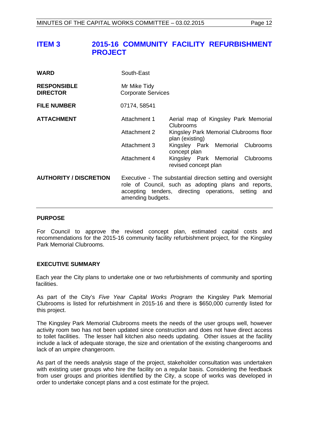## <span id="page-11-0"></span>**ITEM 3 2015-16 COMMUNITY FACILITY REFURBISHMENT PROJECT**

| <b>WARD</b>                           | South-East                                |                                                                                                                                                                             |
|---------------------------------------|-------------------------------------------|-----------------------------------------------------------------------------------------------------------------------------------------------------------------------------|
| <b>RESPONSIBLE</b><br><b>DIRECTOR</b> | Mr Mike Tidy<br><b>Corporate Services</b> |                                                                                                                                                                             |
| <b>FILE NUMBER</b>                    | 07174, 58541                              |                                                                                                                                                                             |
| <b>ATTACHMENT</b>                     | Attachment 1                              | Aerial map of Kingsley Park Memorial<br>Clubrooms                                                                                                                           |
|                                       | Attachment 2                              | Kingsley Park Memorial Clubrooms floor<br>plan (existing)                                                                                                                   |
|                                       | Attachment 3                              | Kingsley Park Memorial Clubrooms<br>concept plan                                                                                                                            |
|                                       | Attachment 4                              | Kingsley Park Memorial Clubrooms<br>revised concept plan                                                                                                                    |
| <b>AUTHORITY / DISCRETION</b>         | amending budgets.                         | Executive - The substantial direction setting and oversight<br>role of Council, such as adopting plans and reports,<br>accepting tenders, directing operations, setting and |

### **PURPOSE**

For Council to approve the revised concept plan, estimated capital costs and recommendations for the 2015-16 community facility refurbishment project, for the Kingsley Park Memorial Clubrooms.

### **EXECUTIVE SUMMARY**

Each year the City plans to undertake one or two refurbishments of community and sporting facilities.

As part of the City's *Five Year Capital Works Program* the Kingsley Park Memorial Clubrooms is listed for refurbishment in 2015-16 and there is \$650,000 currently listed for this project.

The Kingsley Park Memorial Clubrooms meets the needs of the user groups well, however activity room two has not been updated since construction and does not have direct access to toilet facilities. The lesser hall kitchen also needs updating. Other issues at the facility include a lack of adequate storage, the size and orientation of the existing changerooms and lack of an umpire changeroom.

As part of the needs analysis stage of the project, stakeholder consultation was undertaken with existing user groups who hire the facility on a regular basis. Considering the feedback from user groups and priorities identified by the City, a scope of works was developed in order to undertake concept plans and a cost estimate for the project.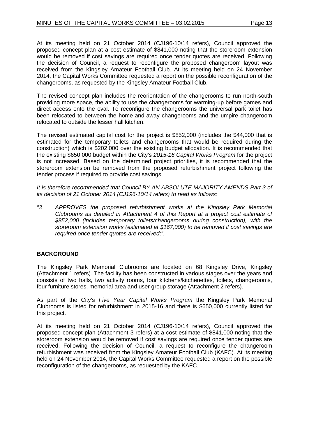At its meeting held on 21 October 2014 (CJ196-10/14 refers), Council approved the proposed concept plan at a cost estimate of \$841,000 noting that the storeroom extension would be removed if cost savings are required once tender quotes are received. Following the decision of Council, a request to reconfigure the proposed changeroom layout was received from the Kingsley Amateur Football Club. At its meeting held on 24 November 2014, the Capital Works Committee requested a report on the possible reconfiguration of the changerooms, as requested by the Kingsley Amateur Football Club.

The revised concept plan includes the reorientation of the changerooms to run north-south providing more space, the ability to use the changerooms for warming-up before games and direct access onto the oval. To reconfigure the changerooms the universal park toilet has been relocated to between the home-and-away changerooms and the umpire changeroom relocated to outside the lesser hall kitchen.

The revised estimated capital cost for the project is \$852,000 (includes the \$44,000 that is estimated for the temporary toilets and changerooms that would be required during the construction) which is \$202,000 over the existing budget allocation. It is recommended that the existing \$650,000 budget within the City's *2015-16 Capital Works Program* for the project is not increased. Based on the determined project priorities, it is recommended that the storeroom extension be removed from the proposed refurbishment project following the tender process if required to provide cost savings.

It is therefore recommended that Council BY AN ABSOLUTE MAJORITY AMENDS Part 3 of *its decision of 21 October 2014 (CJ196-10/14 refers) to read as follows:*

*"3 APPROVES the proposed refurbishment works at the Kingsley Park Memorial Clubrooms as detailed in Attachment 4 of this Report at a project cost estimate of \$852,000 (includes temporary toilets/changerooms during construction), with the storeroom extension works (estimated at \$167,000) to be removed if cost savings are required once tender quotes are received;".*

### **BACKGROUND**

The Kingsley Park Memorial Clubrooms are located on 68 Kingsley Drive, Kingsley (Attachment 1 refers). The facility has been constructed in various stages over the years and consists of two halls, two activity rooms, four kitchens/kitchenettes, toilets, changerooms, four furniture stores, memorial area and user group storage (Attachment 2 refers).

As part of the City's *Five Year Capital Works Program* the Kingsley Park Memorial Clubrooms is listed for refurbishment in 2015-16 and there is \$650,000 currently listed for this project.

At its meeting held on 21 October 2014 (CJ196-10/14 refers), Council approved the proposed concept plan (Attachment 3 refers) at a cost estimate of \$841,000 noting that the storeroom extension would be removed if cost savings are required once tender quotes are received. Following the decision of Council, a request to reconfigure the changeroom refurbishment was received from the Kingsley Amateur Football Club (KAFC). At its meeting held on 24 November 2014, the Capital Works Committee requested a report on the possible reconfiguration of the changerooms, as requested by the KAFC.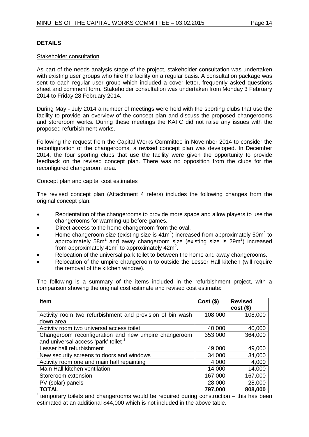### **DETAILS**

### Stakeholder consultation

As part of the needs analysis stage of the project, stakeholder consultation was undertaken with existing user groups who hire the facility on a regular basis. A consultation package was sent to each regular user group which included a cover letter, frequently asked questions sheet and comment form. Stakeholder consultation was undertaken from Monday 3 February 2014 to Friday 28 February 2014.

During May - July 2014 a number of meetings were held with the sporting clubs that use the facility to provide an overview of the concept plan and discuss the proposed changerooms and storeroom works. During these meetings the KAFC did not raise any issues with the proposed refurbishment works.

Following the request from the Capital Works Committee in November 2014 to consider the reconfiguration of the changerooms, a revised concept plan was developed. In December 2014, the four sporting clubs that use the facility were given the opportunity to provide feedback on the revised concept plan. There was no opposition from the clubs for the reconfigured changeroom area.

### Concept plan and capital cost estimates

The revised concept plan (Attachment 4 refers) includes the following changes from the original concept plan:

- Reorientation of the changerooms to provide more space and allow players to use the changerooms for warming-up before games.
- Direct access to the home changeroom from the oval.
- Home changeroom size (existing size is  $41m^2$ ) increased from approximately 50m<sup>2</sup> to approximately 58m<sup>2</sup> and away changeroom size (existing size is 29m<sup>2</sup>) increased from approximately  $41m^2$  to approximately  $42m^2$ .
- Relocation of the universal park toilet to between the home and away changerooms.
- Relocation of the umpire changeroom to outside the Lesser Hall kitchen (will require the removal of the kitchen window).

The following is a summary of the items included in the refurbishment project, with a comparison showing the original cost estimate and revised cost estimate:

| <b>Item</b>                                               | $Cost($ \$) | <b>Revised</b><br>$cost($ \$) |
|-----------------------------------------------------------|-------------|-------------------------------|
| Activity room two refurbishment and provision of bin wash | 108,000     | 108,000                       |
| down area                                                 |             |                               |
| Activity room two universal access toilet                 | 40,000      | 40,000                        |
| Changeroom reconfiguration and new umpire changeroom      | 353,000     | 364,000                       |
| and universal access 'park' toilet 1                      |             |                               |
| Lesser hall refurbishment                                 | 49,000      | 49,000                        |
| New security screens to doors and windows                 | 34,000      | 34,000                        |
| Activity room one and main hall repainting                | 4,000       | 4,000                         |
| Main Hall kitchen ventilation                             | 14,000      | 14,000                        |
| Storeroom extension                                       | 167,000     | 167,000                       |
| PV (solar) panels                                         | 28,000      | 28,000                        |
| <b>TOTAL</b>                                              | 797,000     | 808,000                       |

 $<sup>1</sup>$  temporary toilets and changerooms would be required during construction – this has been</sup> estimated at an additional \$44,000 which is not included in the above table.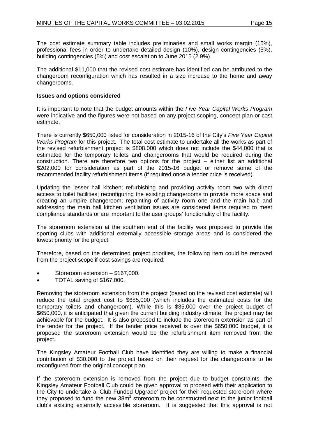The cost estimate summary table includes preliminaries and small works margin (15%), professional fees in order to undertake detailed design (10%), design contingencies (5%), building contingencies (5%) and cost escalation to June 2015 (2.9%).

The additional \$11,000 that the revised cost estimate has identified can be attributed to the changeroom reconfiguration which has resulted in a size increase to the home and away changerooms.

### **Issues and options considered**

It is important to note that the budget amounts within the *Five Year Capital Works Program* were indicative and the figures were not based on any project scoping, concept plan or cost estimate.

There is currently \$650,000 listed for consideration in 2015-16 of the City's *Five Year Capital Works Program* for this project. The total cost estimate to undertake all the works as part of the revised refurbishment project is \$808,000 which does not include the \$44,000 that is estimated for the temporary toilets and changerooms that would be required during the construction. There are therefore two options for the project – either list an additional \$202,000 for consideration as part of the 2015-16 budget or remove some of the recommended facility refurbishment items (if required once a tender price is received).

Updating the lesser hall kitchen; refurbishing and providing activity room two with direct access to toilet facilities; reconfiguring the existing changerooms to provide more space and creating an umpire changeroom; repainting of activity room one and the main hall; and addressing the main hall kitchen ventilation issues are considered items required to meet compliance standards or are important to the user groups' functionality of the facility.

The storeroom extension at the southern end of the facility was proposed to provide the sporting clubs with additional externally accessible storage areas and is considered the lowest priority for the project.

Therefore, based on the determined project priorities, the following item could be removed from the project scope if cost savings are required:

- Storeroom extension \$167,000.
- TOTAL saving of \$167,000.

Removing the storeroom extension from the project (based on the revised cost estimate) will reduce the total project cost to \$685,000 (which includes the estimated costs for the temporary toilets and changeroom). While this is \$35,000 over the project budget of \$650,000, it is anticipated that given the current building industry climate, the project may be achievable for the budget. It is also proposed to include the storeroom extension as part of the tender for the project. If the tender price received is over the \$650,000 budget, it is proposed the storeroom extension would be the refurbishment item removed from the project.

The Kingsley Amateur Football Club have identified they are willing to make a financial contribution of \$30,000 to the project based on their request for the changerooms to be reconfigured from the original concept plan.

If the storeroom extension is removed from the project due to budget constraints, the Kingsley Amateur Football Club could be given approval to proceed with their application to the City to undertake a 'Club Funded Upgrade' project for their requested storeroom where they proposed to fund the new  $38m^2$  storeroom to be constructed next to the junior football club's existing externally accessible storeroom. It is suggested that this approval is not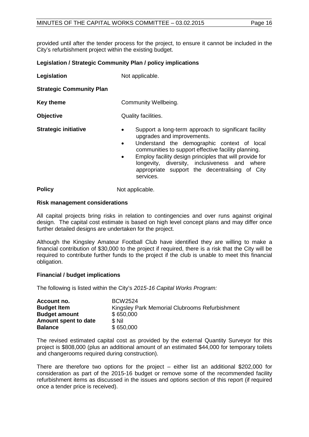provided until after the tender process for the project, to ensure it cannot be included in the City's refurbishment project within the existing budget.

### **Legislation / Strategic Community Plan / policy implications**

**Legislation** Not applicable. **Strategic Community Plan**

**Key theme Community Wellbeing. Objective** Quality facilities. **Strategic initiative** • Support a long-term approach to significant facility upgrades and improvements. • Understand the demographic context of local communities to support effective facility planning. • Employ facility design principles that will provide for

longevity, diversity, inclusiveness and where appropriate support the decentralising of City services.

**Policy** Not applicable.

### **Risk management considerations**

All capital projects bring risks in relation to contingencies and over runs against original design. The capital cost estimate is based on high level concept plans and may differ once further detailed designs are undertaken for the project.

Although the Kingsley Amateur Football Club have identified they are willing to make a financial contribution of \$30,000 to the project if required, there is a risk that the City will be required to contribute further funds to the project if the club is unable to meet this financial obligation.

### **Financial / budget implications**

The following is listed within the City's *2015-16 Capital Works Program:*

| Account no.          | BCW2524                                        |
|----------------------|------------------------------------------------|
| <b>Budget Item</b>   | Kingsley Park Memorial Clubrooms Refurbishment |
| <b>Budget amount</b> | \$650,000                                      |
| Amount spent to date | \$ Nil                                         |
| <b>Balance</b>       | \$650,000                                      |

The revised estimated capital cost as provided by the external Quantity Surveyor for this project is \$808,000 (plus an additional amount of an estimated \$44,000 for temporary toilets and changerooms required during construction).

There are therefore two options for the project – either list an additional \$202,000 for consideration as part of the 2015-16 budget or remove some of the recommended facility refurbishment items as discussed in the issues and options section of this report (if required once a tender price is received).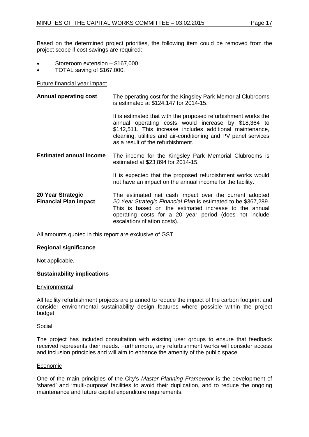Based on the determined project priorities, the following item could be removed from the project scope if cost savings are required:

- Storeroom extension \$167,000
- TOTAL saving of \$167,000.

### Future financial year impact

| <b>Annual operating cost</b>                      | The operating cost for the Kingsley Park Memorial Clubrooms<br>is estimated at \$124,147 for 2014-15.                                                                                                                                                                                      |  |  |
|---------------------------------------------------|--------------------------------------------------------------------------------------------------------------------------------------------------------------------------------------------------------------------------------------------------------------------------------------------|--|--|
|                                                   | It is estimated that with the proposed refurbishment works the<br>annual operating costs would increase by \$18,364 to<br>\$142,511. This increase includes additional maintenance,<br>cleaning, utilities and air-conditioning and PV panel services<br>as a result of the refurbishment. |  |  |
| <b>Estimated annual income</b>                    | The income for the Kingsley Park Memorial Clubrooms is<br>estimated at \$23,894 for 2014-15.                                                                                                                                                                                               |  |  |
|                                                   | It is expected that the proposed refurbishment works would<br>not have an impact on the annual income for the facility.                                                                                                                                                                    |  |  |
| 20 Year Strategic<br><b>Financial Plan impact</b> | The estimated net cash impact over the current adopted<br>20 Year Strategic Financial Plan is estimated to be \$367,289.<br>This is based on the estimated increase to the annual<br>operating costs for a 20 year period (does not include<br>escalation/inflation costs).                |  |  |

All amounts quoted in this report are exclusive of GST.

### **Regional significance**

Not applicable.

### **Sustainability implications**

### **Environmental**

All facility refurbishment projects are planned to reduce the impact of the carbon footprint and consider environmental sustainability design features where possible within the project budget.

### Social

The project has included consultation with existing user groups to ensure that feedback received represents their needs. Furthermore, any refurbishment works will consider access and inclusion principles and will aim to enhance the amenity of the public space.

### Economic

One of the main principles of the City's *Master Planning Framework* is the development of 'shared' and 'multi-purpose' facilities to avoid their duplication, and to reduce the ongoing maintenance and future capital expenditure requirements.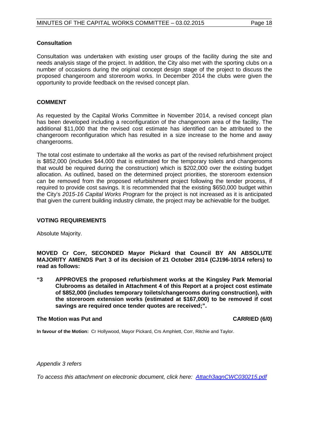### **Consultation**

Consultation was undertaken with existing user groups of the facility during the site and needs analysis stage of the project. In addition, the City also met with the sporting clubs on a number of occasions during the original concept design stage of the project to discuss the proposed changeroom and storeroom works. In December 2014 the clubs were given the opportunity to provide feedback on the revised concept plan.

### **COMMENT**

As requested by the Capital Works Committee in November 2014, a revised concept plan has been developed including a reconfiguration of the changeroom area of the facility. The additional \$11,000 that the revised cost estimate has identified can be attributed to the changeroom reconfiguration which has resulted in a size increase to the home and away changerooms.

The total cost estimate to undertake all the works as part of the revised refurbishment project is \$852,000 (includes \$44,000 that is estimated for the temporary toilets and changerooms that would be required during the construction) which is \$202,000 over the existing budget allocation. As outlined, based on the determined project priorities, the storeroom extension can be removed from the proposed refurbishment project following the tender process, if required to provide cost savings. It is recommended that the existing \$650,000 budget within the City's *2015-16 Capital Works Program* for the project is not increased as it is anticipated that given the current building industry climate, the project may be achievable for the budget.

### **VOTING REQUIREMENTS**

Absolute Majority.

**MOVED Cr Corr, SECONDED Mayor Pickard that Council BY AN ABSOLUTE MAJORITY AMENDS Part 3 of its decision of 21 October 2014 (CJ196-10/14 refers) to read as follows:**

**"3 APPROVES the proposed refurbishment works at the Kingsley Park Memorial Clubrooms as detailed in Attachment 4 of this Report at a project cost estimate of \$852,000 (includes temporary toilets/changerooms during construction), with the storeroom extension works (estimated at \$167,000) to be removed if cost savings are required once tender quotes are received;".**

### **The Motion was Put and CARRIED (6/0)**

**In favour of the Motion:** Cr Hollywood, Mayor Pickard, Crs Amphlett, Corr, Ritchie and Taylor.

### *Appendix 3 refers*

*[To access this attachment on electronic document, click here:](http://www.joondalup.wa.gov.au/files/committees/CWOC/2015/Attach3agnCWC030215.pdf) Attach3agnCWC030215.pdf*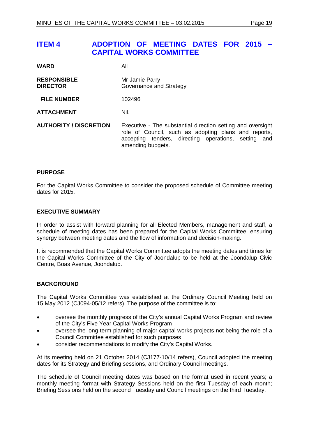### <span id="page-18-0"></span>**ITEM 4 ADOPTION OF MEETING DATES FOR 2015 – CAPITAL WORKS COMMITTEE**

| <b>WARD</b>                           | All                                                                                                                                                                                                 |
|---------------------------------------|-----------------------------------------------------------------------------------------------------------------------------------------------------------------------------------------------------|
| <b>RESPONSIBLE</b><br><b>DIRECTOR</b> | Mr Jamie Parry<br>Governance and Strategy                                                                                                                                                           |
| <b>FILE NUMBER</b>                    | 102496                                                                                                                                                                                              |
| <b>ATTACHMENT</b>                     | Nil.                                                                                                                                                                                                |
| <b>AUTHORITY / DISCRETION</b>         | Executive - The substantial direction setting and oversight<br>role of Council, such as adopting plans and reports,<br>accepting tenders, directing operations, setting<br>and<br>amending budgets. |

### **PURPOSE**

For the Capital Works Committee to consider the proposed schedule of Committee meeting dates for 2015.

### **EXECUTIVE SUMMARY**

In order to assist with forward planning for all Elected Members, management and staff, a schedule of meeting dates has been prepared for the Capital Works Committee, ensuring synergy between meeting dates and the flow of information and decision-making.

It is recommended that the Capital Works Committee adopts the meeting dates and times for the Capital Works Committee of the City of Joondalup to be held at the Joondalup Civic Centre, Boas Avenue, Joondalup.

### **BACKGROUND**

The Capital Works Committee was established at the Ordinary Council Meeting held on 15 May 2012 (CJ094-05/12 refers). The purpose of the committee is to:

- oversee the monthly progress of the City's annual Capital Works Program and review of the City's Five Year Capital Works Program
- oversee the long term planning of major capital works projects not being the role of a Council Committee established for such purposes
- consider recommendations to modify the City's Capital Works.

At its meeting held on 21 October 2014 (CJ177-10/14 refers), Council adopted the meeting dates for its Strategy and Briefing sessions, and Ordinary Council meetings.

The schedule of Council meeting dates was based on the format used in recent years; a monthly meeting format with Strategy Sessions held on the first Tuesday of each month; Briefing Sessions held on the second Tuesday and Council meetings on the third Tuesday.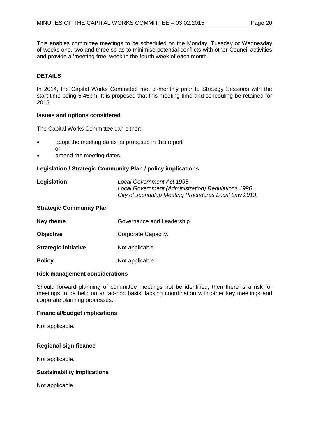This enables committee meetings to be scheduled on the Monday, Tuesday or Wednesday of weeks one, two and three so as to minimise potential conflicts with other Council activities and provide a 'meeting-free' week in the fourth week of each month.

### **DETAILS**

In 2014, the Capital Works Committee met bi-monthly prior to Strategy Sessions with the start time being 5.45pm. It is proposed that this meeting time and scheduling be retained for 2015.

### **Issues and options considered**

The Capital Works Committee can either:

- adopt the meeting dates as proposed in this report or
- amend the meeting dates.

### **Legislation / Strategic Community Plan / policy implications**

| Legislation | Local Government Act 1995.                           |
|-------------|------------------------------------------------------|
|             | Local Government (Administration) Regulations 1996.  |
|             | City of Joondalup Meeting Procedures Local Law 2013. |

### **Strategic Community Plan**

| <b>Key theme</b>            | Governance and Leadership. |
|-----------------------------|----------------------------|
| <b>Objective</b>            | Corporate Capacity.        |
| <b>Strategic initiative</b> | Not applicable.            |
| <b>Policy</b>               | Not applicable.            |

### **Risk management considerations**

Should forward planning of committee meetings not be identified, then there is a risk for meetings to be held on an ad-hoc basis; lacking coordination with other key meetings and corporate planning processes.

### **Financial/budget implications**

Not applicable.

### **Regional significance**

Not applicable.

### **Sustainability implications**

Not applicable.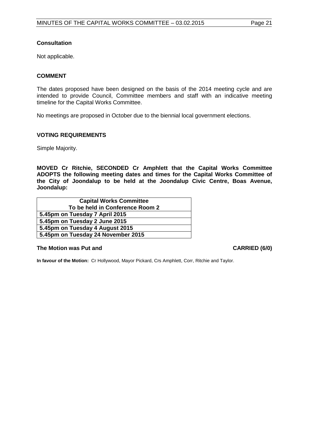### **Consultation**

Not applicable.

### **COMMENT**

The dates proposed have been designed on the basis of the 2014 meeting cycle and are intended to provide Council, Committee members and staff with an indicative meeting timeline for the Capital Works Committee.

No meetings are proposed in October due to the biennial local government elections.

### **VOTING REQUIREMENTS**

Simple Majority.

**MOVED Cr Ritchie, SECONDED Cr Amphlett that the Capital Works Committee ADOPTS the following meeting dates and times for the Capital Works Committee of the City of Joondalup to be held at the Joondalup Civic Centre, Boas Avenue, Joondalup:**

| <b>Capital Works Committee</b>     |  |
|------------------------------------|--|
| To be held in Conference Room 2    |  |
| 5.45pm on Tuesday 7 April 2015     |  |
| 5.45pm on Tuesday 2 June 2015      |  |
| 5.45pm on Tuesday 4 August 2015    |  |
| 5.45pm on Tuesday 24 November 2015 |  |

### **The Motion was Put and CARRIED (6/0)**

**In favour of the Motion:** Cr Hollywood, Mayor Pickard, Crs Amphlett, Corr, Ritchie and Taylor.